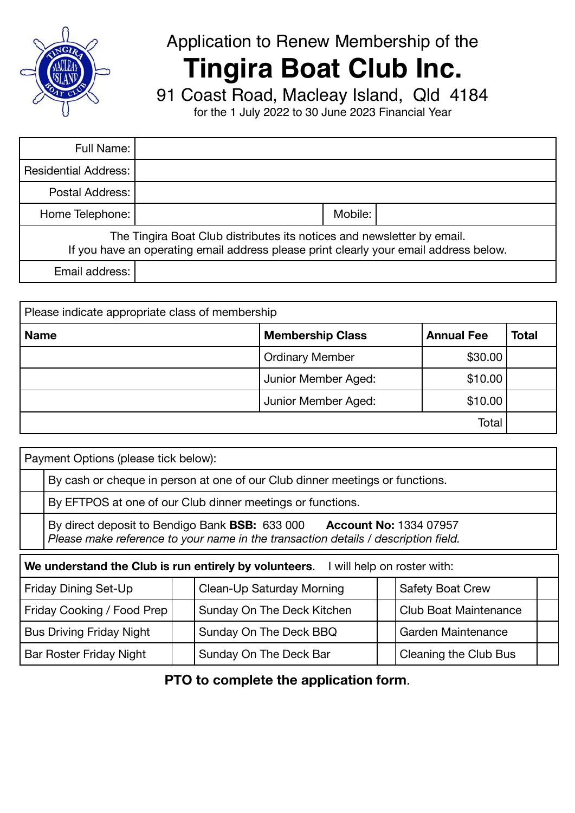

## Application to Renew Membership of the

## **Tingira Boat Club Inc.**

91 Coast Road, Macleay Island, Qld 4184

for the 1 July 2022 to 30 June 2023 Financial Year

| Full Name:                                                                                                                                                      |  |         |  |  |  |
|-----------------------------------------------------------------------------------------------------------------------------------------------------------------|--|---------|--|--|--|
| <b>Residential Address:</b>                                                                                                                                     |  |         |  |  |  |
| Postal Address:                                                                                                                                                 |  |         |  |  |  |
| Home Telephone:                                                                                                                                                 |  | Mobile: |  |  |  |
| The Tingira Boat Club distributes its notices and newsletter by email.<br>If you have an operating email address please print clearly your email address below. |  |         |  |  |  |
| Email address:                                                                                                                                                  |  |         |  |  |  |

| Please indicate appropriate class of membership             |                        |         |  |  |  |  |
|-------------------------------------------------------------|------------------------|---------|--|--|--|--|
| <b>Membership Class</b><br><b>Name</b><br><b>Annual Fee</b> |                        |         |  |  |  |  |
|                                                             | <b>Ordinary Member</b> | \$30.00 |  |  |  |  |
|                                                             | Junior Member Aged:    | \$10.00 |  |  |  |  |
|                                                             | Junior Member Aged:    | \$10.00 |  |  |  |  |
|                                                             |                        | Total   |  |  |  |  |

| Payment Options (please tick below):                                              |                                                                                                                                                                    |                            |                        |                              |                       |  |
|-----------------------------------------------------------------------------------|--------------------------------------------------------------------------------------------------------------------------------------------------------------------|----------------------------|------------------------|------------------------------|-----------------------|--|
|                                                                                   | By cash or cheque in person at one of our Club dinner meetings or functions.                                                                                       |                            |                        |                              |                       |  |
|                                                                                   | By EFTPOS at one of our Club dinner meetings or functions.                                                                                                         |                            |                        |                              |                       |  |
|                                                                                   | By direct deposit to Bendigo Bank <b>BSB:</b> 633 000 Account No: 1334 07957<br>Please make reference to your name in the transaction details / description field. |                            |                        |                              |                       |  |
| We understand the Club is run entirely by volunteers. I will help on roster with: |                                                                                                                                                                    |                            |                        |                              |                       |  |
|                                                                                   | <b>Friday Dining Set-Up</b><br>Clean-Up Saturday Morning<br><b>Safety Boat Crew</b>                                                                                |                            |                        |                              |                       |  |
| Friday Cooking / Food Prep                                                        |                                                                                                                                                                    | Sunday On The Deck Kitchen |                        | <b>Club Boat Maintenance</b> |                       |  |
| <b>Bus Driving Friday Night</b>                                                   |                                                                                                                                                                    |                            | Sunday On The Deck BBQ |                              | Garden Maintenance    |  |
| Bar Roster Friday Night                                                           |                                                                                                                                                                    |                            | Sunday On The Deck Bar |                              | Cleaning the Club Bus |  |

**PTO to complete the application form**.